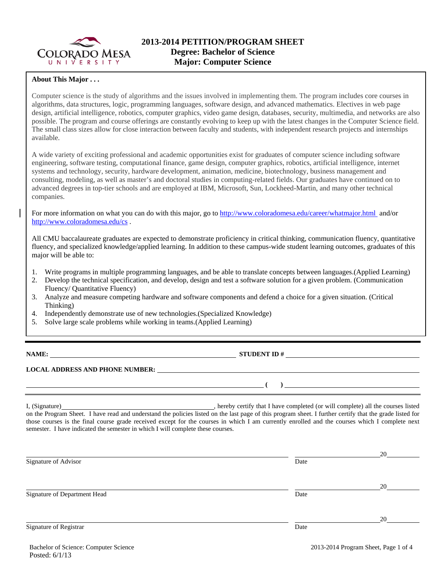

## **About This Major . . .**

Computer science is the study of algorithms and the issues involved in implementing them. The program includes core courses in algorithms, data structures, logic, programming languages, software design, and advanced mathematics. Electives in web page design, artificial intelligence, robotics, computer graphics, video game design, databases, security, multimedia, and networks are also possible. The program and course offerings are constantly evolving to keep up with the latest changes in the Computer Science field. The small class sizes allow for close interaction between faculty and students, with independent research projects and internships available.

A wide variety of exciting professional and academic opportunities exist for graduates of computer science including software engineering, software testing, computational finance, game design, computer graphics, robotics, artificial intelligence, internet systems and technology, security, hardware development, animation, medicine, biotechnology, business management and consulting, modeling, as well as master's and doctoral studies in computing-related fields. Our graduates have continued on to advanced degrees in top-tier schools and are employed at IBM, Microsoft, Sun, Lockheed-Martin, and many other technical companies.

For more information on what you can do with this major, go to http://www.coloradomesa.edu/career/whatmajor.html and/or http://www.coloradomesa.edu/cs .

All CMU baccalaureate graduates are expected to demonstrate proficiency in critical thinking, communication fluency, quantitative fluency, and specialized knowledge/applied learning. In addition to these campus-wide student learning outcomes, graduates of this major will be able to:

- 1. Write programs in multiple programming languages, and be able to translate concepts between languages.(Applied Learning)
- 2. Develop the technical specification, and develop, design and test a software solution for a given problem. (Communication Fluency/ Quantitative Fluency)
- 3. Analyze and measure competing hardware and software components and defend a choice for a given situation. (Critical Thinking)
- 4. Independently demonstrate use of new technologies.(Specialized Knowledge)
- 5. Solve large scale problems while working in teams.(Applied Learning)

**NAME: STUDENT ID #**

 $\lambda$ 

# **LOCAL ADDRESS AND PHONE NUMBER:**

I, (Signature) **Source 2008** (Signature) **, hereby certify that I have completed** (or will complete) all the courses listed on the Program Sheet. I have read and understand the policies listed on the last page of this program sheet. I further certify that the grade listed for those courses is the final course grade received except for the courses in which I am currently enrolled and the courses which I complete next semester. I have indicated the semester in which I will complete these courses.

| Signature of Advisor         | Date | 20 |
|------------------------------|------|----|
| Signature of Department Head | Date | 20 |
| Signature of Registrar       | Date | 20 |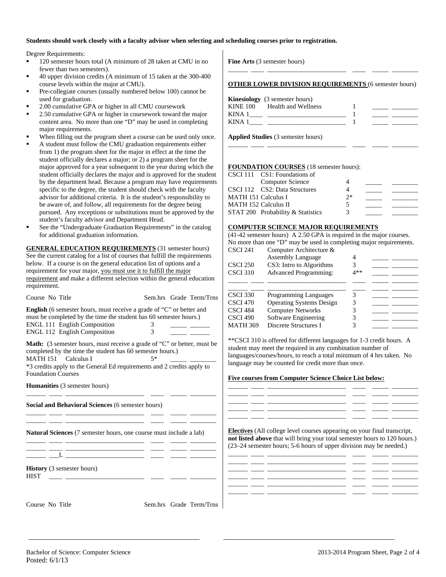## **Students should work closely with a faculty advisor when selecting and scheduling courses prior to registration.**

Degree Requirements:

- 120 semester hours total (A minimum of 28 taken at CMU in no fewer than two semesters).
- 40 upper division credits (A minimum of 15 taken at the 300-400 course levels within the major at CMU).
- Pre-collegiate courses (usually numbered below 100) cannot be used for graduation.
- 2.00 cumulative GPA or higher in all CMU coursework
- 2.50 cumulative GPA or higher in coursework toward the major content area. No more than one "D" may be used in completing major requirements.
- When filling out the program sheet a course can be used only once.
- A student must follow the CMU graduation requirements either from 1) the program sheet for the major in effect at the time the student officially declares a major; or 2) a program sheet for the major approved for a year subsequent to the year during which the student officially declares the major and is approved for the student by the department head. Because a program may have requirements specific to the degree, the student should check with the faculty advisor for additional criteria. It is the student's responsibility to be aware of, and follow, all requirements for the degree being pursued. Any exceptions or substitutions must be approved by the student's faculty advisor and Department Head.
- See the "Undergraduate Graduation Requirements" in the catalog for additional graduation information.

**GENERAL EDUCATION REQUIREMENTS** (31 semester hours) See the current catalog for a list of courses that fulfill the requirements below. If a course is on the general education list of options and a requirement for your major, you must use it to fulfill the major requirement and make a different selection within the general education requirement.

| Course No Title                                                                                                                                                                                                                                                    | Sem.hrs Grade Term/Trns | <b>CSCI</b> 330<br><b>CSCI 470</b> | Programming Languages<br><b>Operating Systems Design</b>                                                                                                                                                                                                                                                                          | 3<br>3                                                                                  |
|--------------------------------------------------------------------------------------------------------------------------------------------------------------------------------------------------------------------------------------------------------------------|-------------------------|------------------------------------|-----------------------------------------------------------------------------------------------------------------------------------------------------------------------------------------------------------------------------------------------------------------------------------------------------------------------------------|-----------------------------------------------------------------------------------------|
| <b>English</b> (6 semester hours, must receive a grade of "C" or better and                                                                                                                                                                                        |                         | <b>CSCI 484</b>                    |                                                                                                                                                                                                                                                                                                                                   | <u> 1989 - Alexandr Store Books, amerikansk politiker (</u>                             |
| must be completed by the time the student has 60 semester hours.)                                                                                                                                                                                                  |                         | <b>CSCI 490</b>                    | <b>Computer Networks</b>                                                                                                                                                                                                                                                                                                          | 3<br>$\overline{\phantom{a}}$ and $\overline{\phantom{a}}$ and $\overline{\phantom{a}}$ |
| <b>ENGL 111 English Composition</b>                                                                                                                                                                                                                                |                         |                                    | Software Engineering                                                                                                                                                                                                                                                                                                              |                                                                                         |
| ENGL 112 English Composition                                                                                                                                                                                                                                       | 3                       | <b>MATH 369</b>                    | Discrete Structures I                                                                                                                                                                                                                                                                                                             |                                                                                         |
| Math: (3 semester hours, must receive a grade of "C" or better, must be<br>completed by the time the student has 60 semester hours.)<br>MATH 151 Calculus I<br>*3 credits apply to the General Ed requirements and 2 credits apply to<br><b>Foundation Courses</b> | $5*$                    |                                    | **CSCI 310 is offered for different languages for 1-3 credit hours. A<br>student may meet the required in any combination number of<br>languages/courses/hours, to reach a total minimum of 4 hrs taken. No<br>language may be counted for credit more than once.<br><b>Five courses from Computer Science Choice List below:</b> |                                                                                         |
| Humanities (3 semester hours)                                                                                                                                                                                                                                      |                         |                                    |                                                                                                                                                                                                                                                                                                                                   |                                                                                         |
| Social and Behavioral Sciences (6 semester hours)                                                                                                                                                                                                                  |                         |                                    | <u> 1988 - Jan James James James James James James James James James James James James James James James James J</u>                                                                                                                                                                                                              |                                                                                         |
| Natural Sciences (7 semester hours, one course must include a lab)                                                                                                                                                                                                 |                         |                                    | <b>Electives</b> (All college level courses appearing on your final transcript,<br>not listed above that will bring your total semester hours to 120 hours.)<br>(23–24 semester hours; 5-6 hours of upper division may be needed.)                                                                                                |                                                                                         |
| <b>History</b> (3 semester hours)<br><b>HIST</b>                                                                                                                                                                                                                   |                         |                                    |                                                                                                                                                                                                                                                                                                                                   |                                                                                         |
| Course No Title                                                                                                                                                                                                                                                    | Sem.hrs Grade Term/Trns |                                    |                                                                                                                                                                                                                                                                                                                                   |                                                                                         |

**Fine Arts** (3 semester hours)

#### **OTHER LOWER DIVISION REQUIREMENTS** (6 semester hours)

\_\_\_\_\_\_ \_\_\_\_ \_\_\_\_\_\_\_\_\_\_\_\_\_\_\_\_\_\_\_\_\_\_\_\_ \_\_\_\_ \_\_\_\_\_ \_\_\_\_\_\_\_\_

|             | <b>Kinesiology</b> (3 semester hours) |  |
|-------------|---------------------------------------|--|
|             | KINE 100 Health and Wellness          |  |
| KINA 1      |                                       |  |
| <b>KINA</b> |                                       |  |

\_\_\_\_\_\_ \_\_\_\_ \_\_\_\_\_\_\_\_\_\_\_\_\_\_\_\_\_\_\_\_\_\_\_\_ \_\_\_\_ \_\_\_\_\_ \_\_\_\_\_\_\_\_

**Applied Studies** (3 semester hours)

### **FOUNDATION COURSES** (18 semester hours):

|                            | CSCI 111 CS1: Foundations of      |       |  |
|----------------------------|-----------------------------------|-------|--|
|                            | Computer Science                  |       |  |
|                            | CSCI 112 CS2: Data Structures     |       |  |
| <b>MATH 151 Calculus I</b> |                                   | $2^*$ |  |
| MATH 152 Calculus II       |                                   |       |  |
|                            | STAT 200 Probability & Statistics | 3     |  |

#### **COMPUTER SCIENCE MAJOR REQUIREMENTS**

(41-42 semester hours) A 2.50 GPA is required in the major courses. No more than one "D" may be used in completing major requirements. Computer Architecture &

| CSCI 241<br>CSCI 250<br><b>CSCI 310</b>                                | Computer Architecture $\alpha$<br><b>Assembly Language</b><br>CS3: Intro to Algorithms<br><b>Advanced Programming:</b>                       | 4** |  |
|------------------------------------------------------------------------|----------------------------------------------------------------------------------------------------------------------------------------------|-----|--|
| <b>CSCI 330</b><br>CSCI 470<br>CSCI 484<br>CSCI 490<br><b>MATH 369</b> | <b>Programming Languages</b><br><b>Operating Systems Design</b><br><b>Computer Networks</b><br>Software Engineering<br>Discrete Structures I |     |  |

#### **Five courses from Computer Science Choice List below:**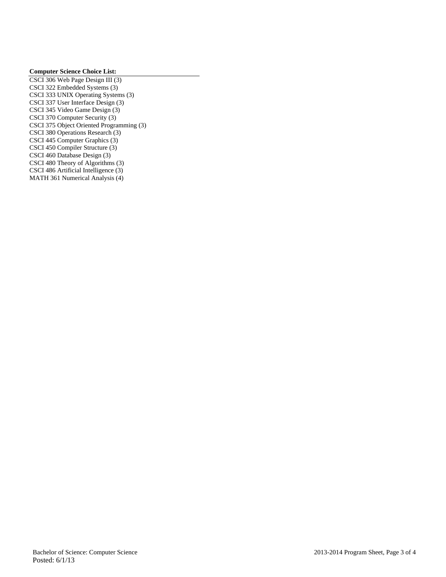## **Computer Science Choice List:**

CSCI 306 Web Page Design III (3) CSCI 322 Embedded Systems (3) CSCI 333 UNIX Operating Systems (3) CSCI 337 User Interface Design (3) CSCI 345 Video Game Design (3) CSCI 370 Computer Security (3) CSCI 375 Object Oriented Programming (3) CSCI 380 Operations Research (3) CSCI 445 Computer Graphics (3) CSCI 450 Compiler Structure (3) CSCI 460 Database Design (3) CSCI 480 Theory of Algorithms (3) CSCI 486 Artificial Intelligence (3) MATH 361 Numerical Analysis (4)